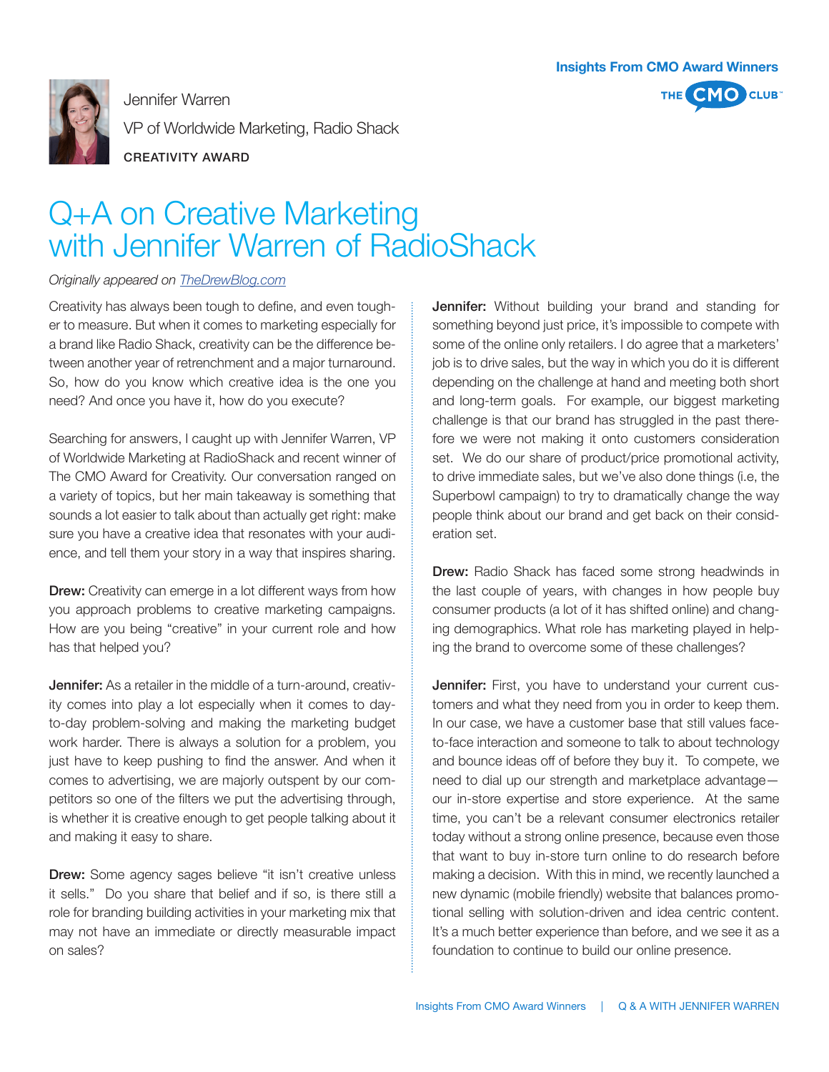

Jennifer Warren VP of Worldwide Marketing, Radio Shack



CREATIVITY AWARD

## Q+A on Creative Marketing with Jennifer Warren of RadioShack

## *Originally appeared on TheDrewBlog.com*

Creativity has always been tough to define, and even tougher to measure. But when it comes to marketing especially for a brand like Radio Shack, creativity can be the difference between another year of retrenchment and a major turnaround. So, how do you know which creative idea is the one you need? And once you have it, how do you execute?

Searching for answers, I caught up with Jennifer Warren, VP of Worldwide Marketing at RadioShack and recent winner of The CMO Award for Creativity. Our conversation ranged on a variety of topics, but her main takeaway is something that sounds a lot easier to talk about than actually get right: make sure you have a creative idea that resonates with your audience, and tell them your story in a way that inspires sharing.

**Drew:** Creativity can emerge in a lot different ways from how you approach problems to creative marketing campaigns. How are you being "creative" in your current role and how has that helped you?

**Jennifer:** As a retailer in the middle of a turn-around, creativity comes into play a lot especially when it comes to dayto-day problem-solving and making the marketing budget work harder. There is always a solution for a problem, you just have to keep pushing to find the answer. And when it comes to advertising, we are majorly outspent by our competitors so one of the filters we put the advertising through, is whether it is creative enough to get people talking about it and making it easy to share.

**Drew:** Some agency sages believe "it isn't creative unless it sells." Do you share that belief and if so, is there still a role for branding building activities in your marketing mix that may not have an immediate or directly measurable impact on sales?

**Jennifer:** Without building your brand and standing for something beyond just price, it's impossible to compete with some of the online only retailers. I do agree that a marketers' job is to drive sales, but the way in which you do it is different depending on the challenge at hand and meeting both short and long-term goals. For example, our biggest marketing challenge is that our brand has struggled in the past therefore we were not making it onto customers consideration set. We do our share of product/price promotional activity, to drive immediate sales, but we've also done things (i.e, the Superbowl campaign) to try to dramatically change the way people think about our brand and get back on their consideration set.

Drew: Radio Shack has faced some strong headwinds in the last couple of years, with changes in how people buy consumer products (a lot of it has shifted online) and changing demographics. What role has marketing played in helping the brand to overcome some of these challenges?

**Jennifer:** First, you have to understand your current customers and what they need from you in order to keep them. In our case, we have a customer base that still values faceto-face interaction and someone to talk to about technology and bounce ideas off of before they buy it. To compete, we need to dial up our strength and marketplace advantage our in-store expertise and store experience. At the same time, you can't be a relevant consumer electronics retailer today without a strong online presence, because even those that want to buy in-store turn online to do research before making a decision. With this in mind, we recently launched a new dynamic (mobile friendly) website that balances promotional selling with solution-driven and idea centric content. It's a much better experience than before, and we see it as a foundation to continue to build our online presence.